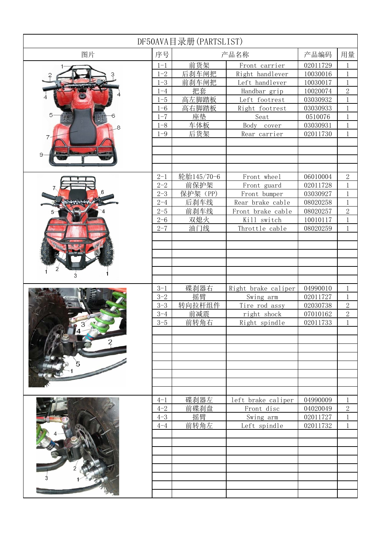| DF50AVA目录册(PARTSLIST) |                    |              |                              |                      |                              |  |  |  |
|-----------------------|--------------------|--------------|------------------------------|----------------------|------------------------------|--|--|--|
| 图片                    | 序号                 | 产品名称         |                              | 产品编码                 | 用量                           |  |  |  |
|                       | $1 - 1$            | 前货架          | Front carrier                | 02011729             | 1                            |  |  |  |
|                       | $1 - 2$            | 后刹车闸把        | Right handlever              | 10030016             | $\mathbf{1}$                 |  |  |  |
|                       | $1 - 3$            | 前刹车闸把        | Left handlever               | 10030017             | $\mathbf{1}$                 |  |  |  |
|                       | $1 - 4$            | 把套           | Handbar grip                 | 10020074             | $\overline{2}$               |  |  |  |
|                       | $1 - 5$            | 高左脚踏板        | Left footrest                | 03030932             | $\mathbf{1}$                 |  |  |  |
|                       | $1 - 6$            | 高右脚踏板        | Right footrest               | 03030933             | $\mathbf{1}$                 |  |  |  |
| 5                     | $1 - 7$            | 座垫           | Seat                         | 0510076              | $\mathbf{1}$                 |  |  |  |
|                       | $1 - 8$            | 车体板          | Body<br>cover                | 03030931             | $\mathbf{1}$                 |  |  |  |
|                       | $1 - 9$            | 后货架          | Rear carrier                 | 02011730             | $\mathbf{1}$                 |  |  |  |
|                       |                    |              |                              |                      |                              |  |  |  |
|                       |                    |              |                              |                      |                              |  |  |  |
|                       |                    |              |                              |                      |                              |  |  |  |
|                       |                    |              |                              |                      |                              |  |  |  |
|                       | $2 - 1$            | 轮胎145/70-6   | Front wheel                  | 06010004             | $\sqrt{2}$                   |  |  |  |
|                       | $2 - 2$            | 前保护架         | Front guard                  | 02011728             | $\mathbf{1}$                 |  |  |  |
|                       | $2 - 3$            | 保护架 (PP)     | Front bumper                 | 03030927             | $\mathbf{1}$                 |  |  |  |
|                       | $2 - 4$            | 后刹车线         | Rear brake cable             | 08020258             | $\mathbf{1}$                 |  |  |  |
|                       | $2 - 5$            | 前刹车线         | Front brake cable            | 08020257             | $\overline{2}$               |  |  |  |
|                       | $2 - 6$            | 双熄火          | Kill switch                  | 10010117             | $\mathbf{1}$                 |  |  |  |
|                       | $2 - 7$            | 油门线          | Throttle cable               | 08020259             | $\mathbf{1}$                 |  |  |  |
|                       |                    |              |                              |                      |                              |  |  |  |
|                       |                    |              |                              |                      |                              |  |  |  |
|                       |                    |              |                              |                      |                              |  |  |  |
|                       |                    |              |                              |                      |                              |  |  |  |
|                       |                    |              |                              |                      |                              |  |  |  |
|                       |                    |              |                              |                      |                              |  |  |  |
|                       | $3 - 1$            | 碟刹器右         | Right brake caliper          | 04990010             | 1                            |  |  |  |
|                       | $3 - 2$<br>$3 - 3$ | 摇臂<br>转向拉杆组件 | Swing arm                    | 02011727             | $\mathbf{1}$                 |  |  |  |
|                       | $3 - 4$            | 前减震          | Tire rod assy<br>right shock | 02030738<br>07010162 | $\sqrt{2}$<br>$\overline{2}$ |  |  |  |
|                       | $3 - 5$            | 前转角右         | Right spindle                | 02011733             |                              |  |  |  |
|                       |                    |              |                              |                      |                              |  |  |  |
|                       |                    |              |                              |                      |                              |  |  |  |
|                       |                    |              |                              |                      |                              |  |  |  |
|                       |                    |              |                              |                      |                              |  |  |  |
|                       |                    |              |                              |                      |                              |  |  |  |
|                       |                    |              |                              |                      |                              |  |  |  |
|                       |                    |              |                              |                      |                              |  |  |  |
|                       |                    |              |                              |                      |                              |  |  |  |
|                       | $4 - 1$            | 碟刹器左         | left brake caliper           | 04990009             | 1                            |  |  |  |
|                       | $4 - 2$            | 前碟刹盘         | Front disc                   | 04020049             | $\sqrt{2}$                   |  |  |  |
|                       | $4 - 3$            | 摇臂           | Swing arm                    | 02011727             | $\mathbf{1}$                 |  |  |  |
|                       | $4 - 4$            | 前转角左         | Left spindle                 | 02011732             | $\mathbf{1}$                 |  |  |  |
|                       |                    |              |                              |                      |                              |  |  |  |
|                       |                    |              |                              |                      |                              |  |  |  |
|                       |                    |              |                              |                      |                              |  |  |  |
|                       |                    |              |                              |                      |                              |  |  |  |
|                       |                    |              |                              |                      |                              |  |  |  |
|                       |                    |              |                              |                      |                              |  |  |  |
|                       |                    |              |                              |                      |                              |  |  |  |
|                       |                    |              |                              |                      |                              |  |  |  |